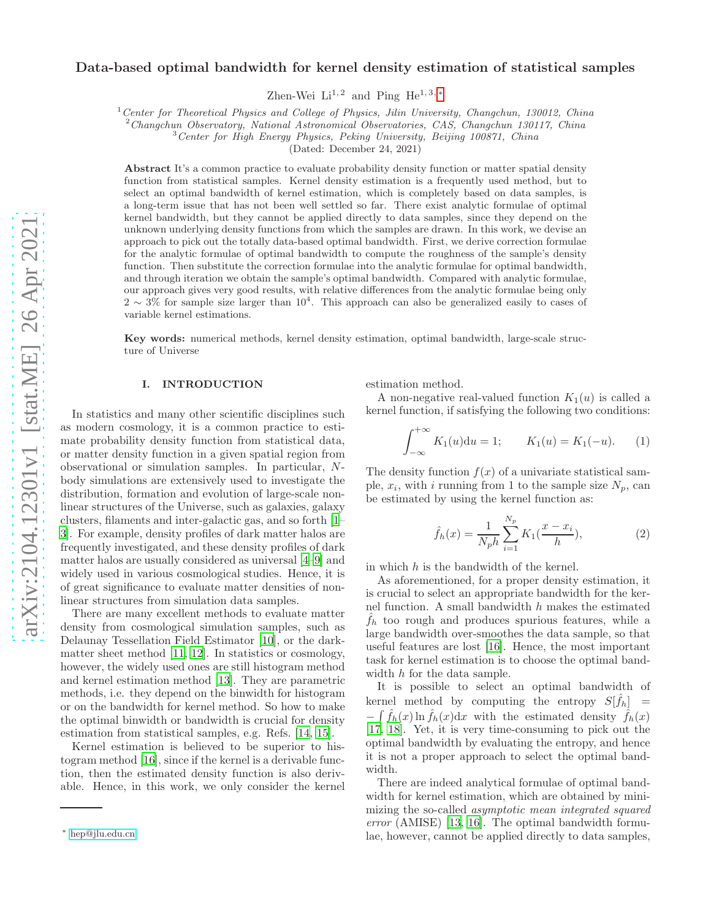# Data-based optimal bandwidth for kernel density estimation of statistical samples

Zhen-Wei  $Li^{1,2}$  and Ping  $He^{1,3,*}$ 

 $1$ <sup>1</sup> Center for Theoretical Physics and College of Physics, Jilin University, Changchun, 130012, China

<sup>2</sup>Changchun Observatory, National Astronomical Observatories, CAS, Changchun 130117, China

<sup>3</sup> Center for High Energy Physics, Peking University, Beijing 100871, China

(Dated: December 24, 2021)

Abstract It's a common practice to evaluate probability density function or matter spatial density function from statistical samples. Kernel density estimation is a frequently used method, but to select an optimal bandwidth of kernel estimation, which is completely based on data samples, is a long-term issue that has not been well settled so far. There exist analytic formulae of optimal kernel bandwidth, but they cannot be applied directly to data samples, since they depend on the unknown underlying density functions from which the samples are drawn. In this work, we devise an approach to pick out the totally data-based optimal bandwidth. First, we derive correction formulae for the analytic formulae of optimal bandwidth to compute the roughness of the sample's density function. Then substitute the correction formulae into the analytic formulae for optimal bandwidth, and through iteration we obtain the sample's optimal bandwidth. Compared with analytic formulae, our approach gives very good results, with relative differences from the analytic formulae being only  $2 \sim 3\%$  for sample size larger than  $10^4$ . This approach can also be generalized easily to cases of variable kernel estimations.

Key words: numerical methods, kernel density estimation, optimal bandwidth, large-scale structure of Universe

# I. INTRODUCTION

In statistics and many other scientific disciplines such as modern cosmology, it is a common practice to estimate probability density function from statistical data, or matter density function in a given spatial region from observational or simulation samples. In particular, Nbody simulations are extensively used to investigate the distribution, formation and evolution of large-scale nonlinear structures of the Universe, such as galaxies, galaxy clusters, filaments and inter-galactic gas, and so forth [\[1](#page-6-0)– [3\]](#page-6-1). For example, density profiles of dark matter halos are frequently investigated, and these density profiles of dark matter halos are usually considered as universal [\[4](#page-6-2)[–9\]](#page-7-0) and widely used in various cosmological studies. Hence, it is of great significance to evaluate matter densities of nonlinear structures from simulation data samples.

There are many excellent methods to evaluate matter density from cosmological simulation samples, such as Delaunay Tessellation Field Estimator [\[10\]](#page-7-1), or the darkmatter sheet method [\[11,](#page-7-2) [12\]](#page-7-3). In statistics or cosmology, however, the widely used ones are still histogram method and kernel estimation method [\[13\]](#page-7-4). They are parametric methods, i.e. they depend on the binwidth for histogram or on the bandwidth for kernel method. So how to make the optimal binwidth or bandwidth is crucial for density estimation from statistical samples, e.g. Refs. [\[14,](#page-7-5) [15\]](#page-7-6).

Kernel estimation is believed to be superior to histogram method [\[16\]](#page-7-7), since if the kernel is a derivable function, then the estimated density function is also derivable. Hence, in this work, we only consider the kernel estimation method.

A non-negative real-valued function  $K_1(u)$  is called a kernel function, if satisfying the following two conditions:

<span id="page-0-1"></span>
$$
\int_{-\infty}^{+\infty} K_1(u) \mathrm{d}u = 1; \qquad K_1(u) = K_1(-u). \tag{1}
$$

The density function  $f(x)$  of a univariate statistical sample,  $x_i$ , with i running from 1 to the sample size  $N_p$ , can be estimated by using the kernel function as:

<span id="page-0-2"></span>
$$
\hat{f}_h(x) = \frac{1}{N_p h} \sum_{i=1}^{N_p} K_1(\frac{x - x_i}{h}),\tag{2}
$$

in which  $h$  is the bandwidth of the kernel.

As aforementioned, for a proper density estimation, it is crucial to select an appropriate bandwidth for the kernel function. A small bandwidth  $h$  makes the estimated  $f_h$  too rough and produces spurious features, while a large bandwidth over-smoothes the data sample, so that useful features are lost [\[16\]](#page-7-7). Hence, the most important task for kernel estimation is to choose the optimal bandwidth h for the data sample.

It is possible to select an optimal bandwidth of kernel method by computing the entropy  $S[\hat{f}_h]$  =  $-\int \hat{f}_h(x) \ln \hat{f}_h(x) dx$  with the estimated density  $\hat{f}_h(x)$ [\[17,](#page-7-8) [18\]](#page-7-9). Yet, it is very time-consuming to pick out the optimal bandwidth by evaluating the entropy, and hence it is not a proper approach to select the optimal bandwidth.

There are indeed analytical formulae of optimal bandwidth for kernel estimation, which are obtained by minimizing the so-called asymptotic mean integrated squared error (AMISE) [\[13,](#page-7-4) [16](#page-7-7)]. The optimal bandwidth formulae, however, cannot be applied directly to data samples,

<span id="page-0-0"></span><sup>∗</sup> [hep@jlu.edu.cn](mailto:hep@jlu.edu.cn)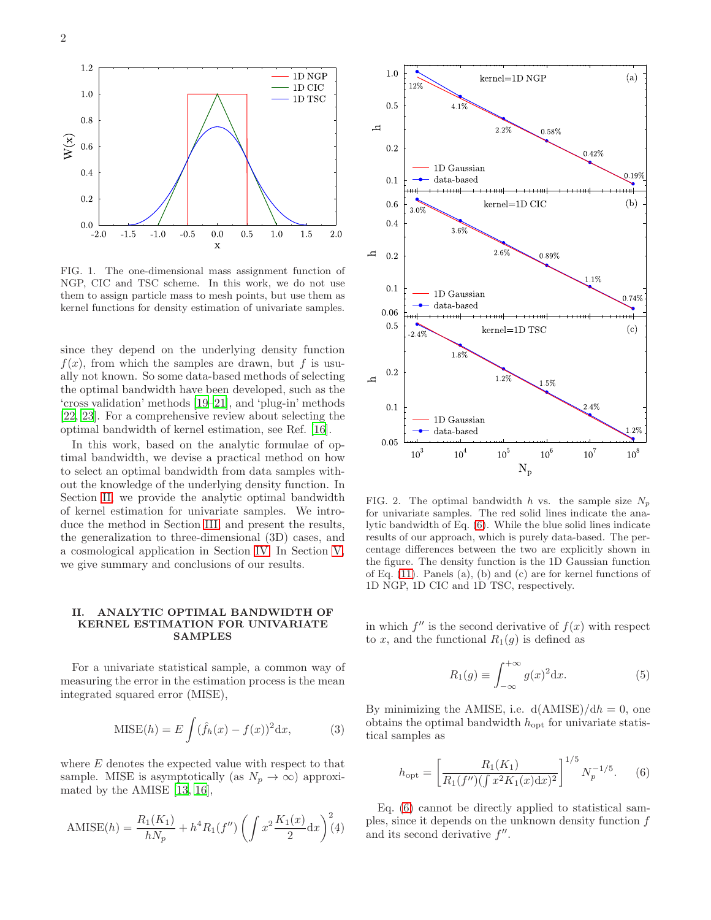

<span id="page-1-3"></span>FIG. 1. The one-dimensional mass assignment function of NGP, CIC and TSC scheme. In this work, we do not use them to assign particle mass to mesh points, but use them as kernel functions for density estimation of univariate samples.

since they depend on the underlying density function  $f(x)$ , from which the samples are drawn, but f is usually not known. So some data-based methods of selecting the optimal bandwidth have been developed, such as the 'cross validation' methods [\[19](#page-7-10)[–21\]](#page-7-11), and 'plug-in' methods [\[22,](#page-7-12) [23\]](#page-7-13). For a comprehensive review about selecting the optimal bandwidth of kernel estimation, see Ref. [\[16](#page-7-7)].

In this work, based on the analytic formulae of optimal bandwidth, we devise a practical method on how to select an optimal bandwidth from data samples without the knowledge of the underlying density function. In Section [II,](#page-1-0) we provide the analytic optimal bandwidth of kernel estimation for univariate samples. We introduce the method in Section [III,](#page-2-0) and present the results, the generalization to three-dimensional (3D) cases, and a cosmological application in Section [IV.](#page-2-1) In Section [V,](#page-5-0) we give summary and conclusions of our results.

### <span id="page-1-0"></span>II. ANALYTIC OPTIMAL BANDWIDTH OF KERNEL ESTIMATION FOR UNIVARIATE SAMPLES

For a univariate statistical sample, a common way of measuring the error in the estimation process is the mean integrated squared error (MISE),

$$
MISE(h) = E \int (\hat{f}_h(x) - f(x))^2 dx,
$$
 (3)

where E denotes the expected value with respect to that sample. MISE is asymptotically (as  $N_p \to \infty$ ) approximated by the AMISE [\[13](#page-7-4), [16](#page-7-7)],

AMISE(h) = 
$$
\frac{R_1(K_1)}{hN_p} + h^4 R_1(f'') \left( \int x^2 \frac{K_1(x)}{2} dx \right)^2(4)
$$



<span id="page-1-2"></span>FIG. 2. The optimal bandwidth h vs. the sample size  $N_p$ for univariate samples. The red solid lines indicate the analytic bandwidth of Eq. [\(6\)](#page-1-1). While the blue solid lines indicate results of our approach, which is purely data-based. The percentage differences between the two are explicitly shown in the figure. The density function is the 1D Gaussian function of Eq. [\(11\)](#page-2-2). Panels (a), (b) and (c) are for kernel functions of 1D NGP, 1D CIC and 1D TSC, respectively.

in which  $f''$  is the second derivative of  $f(x)$  with respect to x, and the functional  $R_1(q)$  is defined as

$$
R_1(g) \equiv \int_{-\infty}^{+\infty} g(x)^2 dx.
$$
 (5)

By minimizing the AMISE, i.e.  $d(AMISE)/dh = 0$ , one obtains the optimal bandwidth  $h_{opt}$  for univariate statistical samples as

<span id="page-1-1"></span>
$$
h_{\rm opt} = \left[ \frac{R_1(K_1)}{R_1(f'') (\int x^2 K_1(x) dx)^2} \right]^{1/5} N_p^{-1/5}.
$$
 (6)

Eq. [\(6\)](#page-1-1) cannot be directly applied to statistical samples, since it depends on the unknown density function f and its second derivative  $f''$ .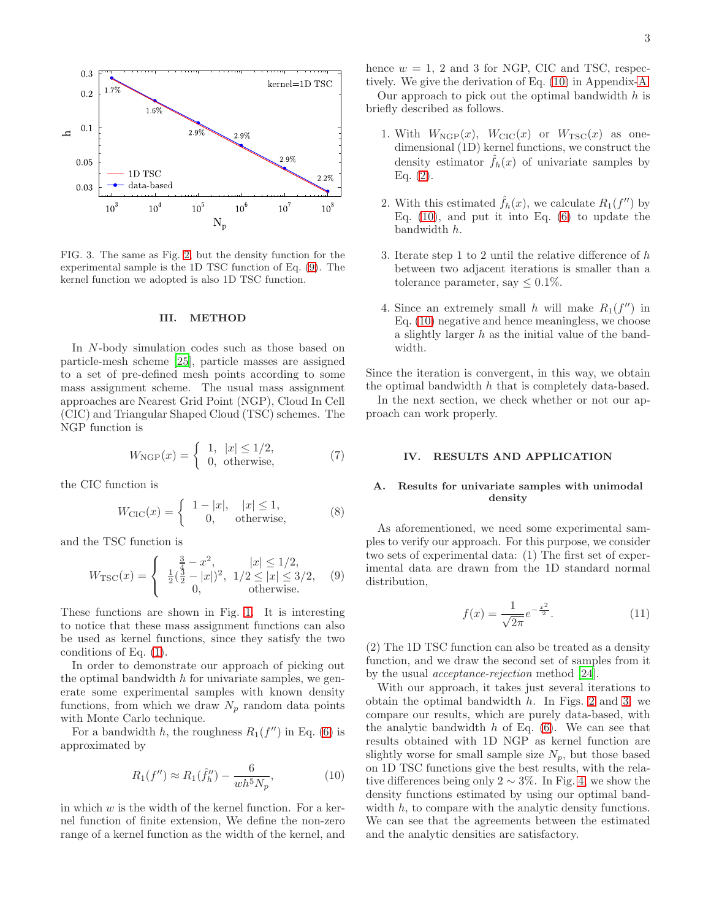

<span id="page-2-5"></span>FIG. 3. The same as Fig. [2,](#page-1-2) but the density function for the experimental sample is the 1D TSC function of Eq. [\(9\)](#page-2-3). The kernel function we adopted is also 1D TSC function.

### <span id="page-2-0"></span>III. METHOD

In N-body simulation codes such as those based on particle-mesh scheme [\[25\]](#page-7-14), particle masses are assigned to a set of pre-defined mesh points according to some mass assignment scheme. The usual mass assignment approaches are Nearest Grid Point (NGP), Cloud In Cell (CIC) and Triangular Shaped Cloud (TSC) schemes. The NGP function is

<span id="page-2-6"></span>
$$
W_{\text{NGP}}(x) = \begin{cases} 1, & |x| \le 1/2, \\ 0, & \text{otherwise,} \end{cases}
$$
 (7)

the CIC function is

$$
W_{\text{CIC}}(x) = \begin{cases} 1 - |x|, & |x| \le 1, \\ 0, & \text{otherwise,} \end{cases}
$$
 (8)

and the TSC function is

<span id="page-2-3"></span>
$$
W_{\rm TSC}(x) = \begin{cases} \frac{3}{4} - x^2, & |x| \le 1/2, \\ \frac{1}{2} (\frac{3}{2} - |x|)^2, & 1/2 \le |x| \le 3/2, \\ 0, & \text{otherwise.} \end{cases} (9)
$$

These functions are shown in Fig. [1.](#page-1-3) It is interesting to notice that these mass assignment functions can also be used as kernel functions, since they satisfy the two conditions of Eq. [\(1\)](#page-0-1).

In order to demonstrate our approach of picking out the optimal bandwidth  $h$  for univariate samples, we generate some experimental samples with known density functions, from which we draw  $N_p$  random data points with Monte Carlo technique.

For a bandwidth h, the roughness  $R_1(f'')$  in Eq. [\(6\)](#page-1-1) is approximated by

<span id="page-2-4"></span>
$$
R_1(f'') \approx R_1(\hat{f}_h'') - \frac{6}{wh^5 N_p},\tag{10}
$$

in which  $w$  is the width of the kernel function. For a kernel function of finite extension, We define the non-zero range of a kernel function as the width of the kernel, and hence  $w = 1$ , 2 and 3 for NGP, CIC and TSC, respectively. We give the derivation of Eq. [\(10\)](#page-2-4) in Appendix[-A.](#page-5-1)

Our approach to pick out the optimal bandwidth  $h$  is briefly described as follows.

- 1. With  $W_{\text{NGP}}(x)$ ,  $W_{\text{CIC}}(x)$  or  $W_{\text{TSC}}(x)$  as onedimensional (1D) kernel functions, we construct the density estimator  $\hat{f}_h(x)$  of univariate samples by Eq.  $(2)$ .
- 2. With this estimated  $\hat{f}_h(x)$ , we calculate  $R_1(f'')$  by Eq.  $(10)$ , and put it into Eq.  $(6)$  to update the bandwidth h.
- 3. Iterate step 1 to 2 until the relative difference of  $h$ between two adjacent iterations is smaller than a tolerance parameter, say  $\leq 0.1\%$ .
- 4. Since an extremely small h will make  $R_1(f'')$  in Eq. [\(10\)](#page-2-4) negative and hence meaningless, we choose a slightly larger h as the initial value of the bandwidth.

Since the iteration is convergent, in this way, we obtain the optimal bandwidth h that is completely data-based.

In the next section, we check whether or not our approach can work properly.

### <span id="page-2-1"></span>IV. RESULTS AND APPLICATION

# A. Results for univariate samples with unimodal density

As aforementioned, we need some experimental samples to verify our approach. For this purpose, we consider two sets of experimental data: (1) The first set of experimental data are drawn from the 1D standard normal distribution,

<span id="page-2-2"></span>
$$
f(x) = \frac{1}{\sqrt{2\pi}} e^{-\frac{x^2}{2}}.
$$
 (11)

(2) The 1D TSC function can also be treated as a density function, and we draw the second set of samples from it by the usual acceptance-rejection method [\[24\]](#page-7-15).

With our approach, it takes just several iterations to obtain the optimal bandwidth  $h$ . In Figs. [2](#page-1-2) and [3,](#page-2-5) we compare our results, which are purely data-based, with the analytic bandwidth  $h$  of Eq. [\(6\)](#page-1-1). We can see that results obtained with 1D NGP as kernel function are slightly worse for small sample size  $N_p$ , but those based on 1D TSC functions give the best results, with the relative differences being only 2  $\sim$  3%. In Fig. [4,](#page-3-0) we show the density functions estimated by using our optimal bandwidth h, to compare with the analytic density functions. We can see that the agreements between the estimated and the analytic densities are satisfactory.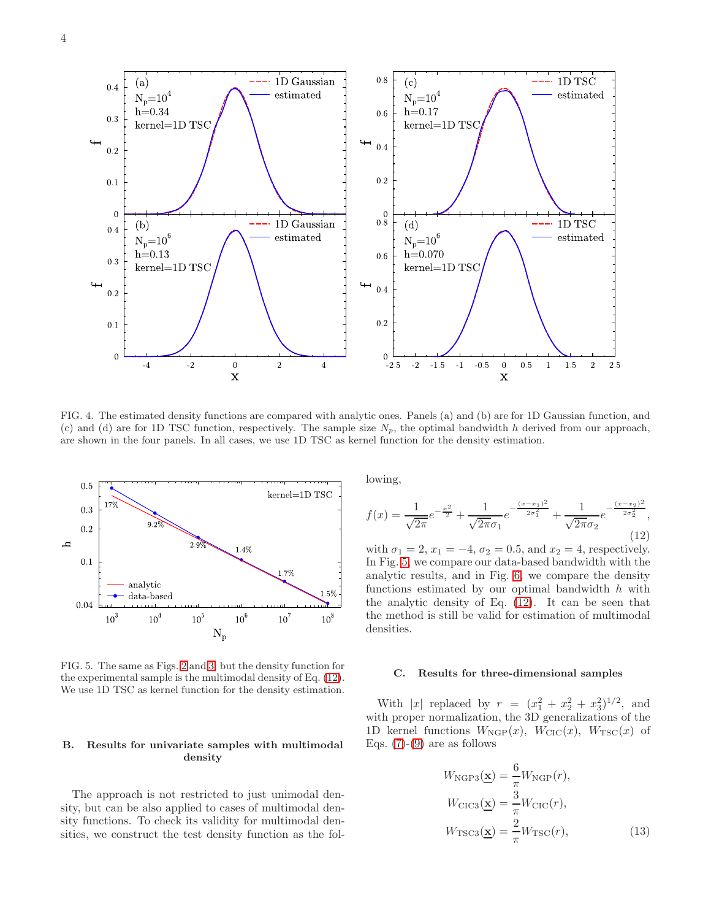

<span id="page-3-0"></span>FIG. 4. The estimated density functions are compared with analytic ones. Panels (a) and (b) are for 1D Gaussian function, and (c) and (d) are for 1D TSC function, respectively. The sample size  $N_p$ , the optimal bandwidth h derived from our approach, are shown in the four panels. In all cases, we use 1D TSC as kernel function for the density estimation.



<span id="page-3-2"></span>FIG. 5. The same as Figs. [2](#page-1-2) and [3,](#page-2-5) but the density function for the experimental sample is the multimodal density of Eq. [\(12\)](#page-3-1). We use 1D TSC as kernel function for the density estimation.

# B. Results for univariate samples with multimodal density

The approach is not restricted to just unimodal density, but can be also applied to cases of multimodal density functions. To check its validity for multimodal densities, we construct the test density function as the following,

<span id="page-3-1"></span>
$$
f(x) = \frac{1}{\sqrt{2\pi}}e^{-\frac{x^2}{2}} + \frac{1}{\sqrt{2\pi}\sigma_1}e^{-\frac{(x-x_1)^2}{2\sigma_1^2}} + \frac{1}{\sqrt{2\pi}\sigma_2}e^{-\frac{(x-x_2)^2}{2\sigma_2^2}},
$$
\n(12)

with  $\sigma_1 = 2, x_1 = -4, \sigma_2 = 0.5, \text{ and } x_2 = 4$ , respectively. In Fig. [5,](#page-3-2) we compare our data-based bandwidth with the analytic results, and in Fig. [6,](#page-4-0) we compare the density functions estimated by our optimal bandwidth  $h$  with the analytic density of Eq. [\(12\)](#page-3-1). It can be seen that the method is still be valid for estimation of multimodal densities.

### C. Results for three-dimensional samples

With |x| replaced by  $r = (x_1^2 + x_2^2 + x_3^2)^{1/2}$ , and with proper normalization, the 3D generalizations of the 1D kernel functions  $W_{\text{NGP}}(x)$ ,  $W_{\text{CIC}}(x)$ ,  $W_{\text{TSC}}(x)$  of Eqs.  $(7)-(9)$  $(7)-(9)$  are as follows

$$
W_{\text{NGP3}}(\underline{\mathbf{x}}) = \frac{6}{\pi} W_{\text{NGP}}(r),
$$
  
\n
$$
W_{\text{CIC3}}(\underline{\mathbf{x}}) = \frac{3}{\pi} W_{\text{CIC}}(r),
$$
  
\n
$$
W_{\text{TSC3}}(\underline{\mathbf{x}}) = \frac{2}{\pi} W_{\text{TSC}}(r),
$$
\n(13)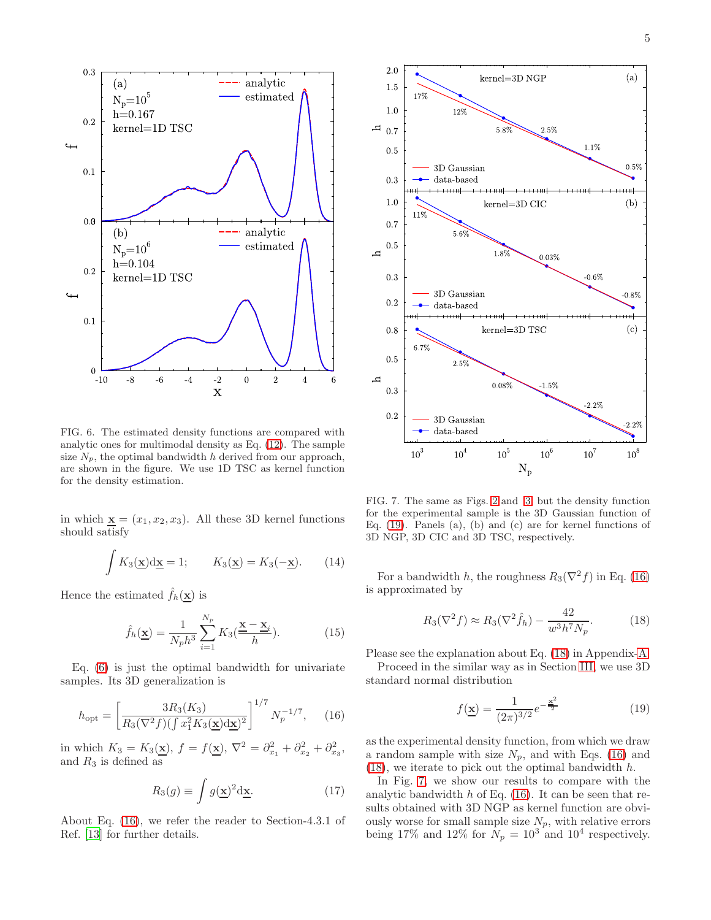

<span id="page-4-0"></span>FIG. 6. The estimated density functions are compared with analytic ones for multimodal density as Eq. [\(12\)](#page-3-1). The sample size  $N_p$ , the optimal bandwidth h derived from our approach, are shown in the figure. We use 1D TSC as kernel function for the density estimation.

in which  $\mathbf{x} = (x_1, x_2, x_3)$ . All these 3D kernel functions should satisfy

$$
\int K_3(\mathbf{\underline{x}}) \mathrm{d}\mathbf{\underline{x}} = 1; \qquad K_3(\mathbf{\underline{x}}) = K_3(-\mathbf{\underline{x}}). \tag{14}
$$

Hence the estimated  $f_h(\mathbf{x})$  is

$$
\hat{f}_h(\underline{\mathbf{x}}) = \frac{1}{N_p h^3} \sum_{i=1}^{N_p} K_3(\frac{\underline{\mathbf{x}} - \underline{\mathbf{x}}_i}{h}).
$$
\n(15)

Eq. [\(6\)](#page-1-1) is just the optimal bandwidth for univariate samples. Its 3D generalization is

<span id="page-4-1"></span>
$$
h_{\rm opt} = \left[\frac{3R_3(K_3)}{R_3(\nabla^2 f)(\int x_1^2 K_3(\mathbf{x})d\mathbf{x})^2}\right]^{1/7} N_p^{-1/7},\qquad(16)
$$

in which  $K_3 = K_3(\mathbf{x}), f = f(\mathbf{x}), \nabla^2 = \partial_{x_1}^2 + \partial_{x_2}^2 + \partial_{x_3}^2,$ and  $R_3$  is defined as

$$
R_3(g) \equiv \int g(\mathbf{x})^2 \mathrm{d}\mathbf{x}.\tag{17}
$$

About Eq. [\(16\)](#page-4-1), we refer the reader to Section-4.3.1 of Ref. [\[13\]](#page-7-4) for further details.



<span id="page-4-4"></span>FIG. 7. The same as Figs. [2](#page-1-2) and [3,](#page-2-5) but the density function for the experimental sample is the 3D Gaussian function of Eq. [\(19\)](#page-4-2). Panels (a), (b) and (c) are for kernel functions of 3D NGP, 3D CIC and 3D TSC, respectively.

For a bandwidth h, the roughness  $R_3(\nabla^2 f)$  in Eq. [\(16\)](#page-4-1) is approximated by

<span id="page-4-3"></span>
$$
R_3(\nabla^2 f) \approx R_3(\nabla^2 \hat{f}_h) - \frac{42}{w^3 h^7 N_p}.
$$
 (18)

Please see the explanation about Eq. [\(18\)](#page-4-3) in Appendix[-A.](#page-5-1) Proceed in the similar way as in Section [III,](#page-2-0) we use 3D standard normal distribution

<span id="page-4-2"></span>
$$
f(\underline{\mathbf{x}}) = \frac{1}{(2\pi)^{3/2}} e^{-\frac{\mathbf{x}^2}{2}}
$$
(19)

as the experimental density function, from which we draw a random sample with size  $N_p$ , and with Eqs. [\(16\)](#page-4-1) and  $(18)$ , we iterate to pick out the optimal bandwidth h.

In Fig. [7,](#page-4-4) we show our results to compare with the analytic bandwidth  $h$  of Eq. [\(16\)](#page-4-1). It can be seen that results obtained with 3D NGP as kernel function are obviously worse for small sample size  $N_p$ , with relative errors being 17% and 12% for  $N_p = 10^3$  and 10<sup>4</sup> respectively.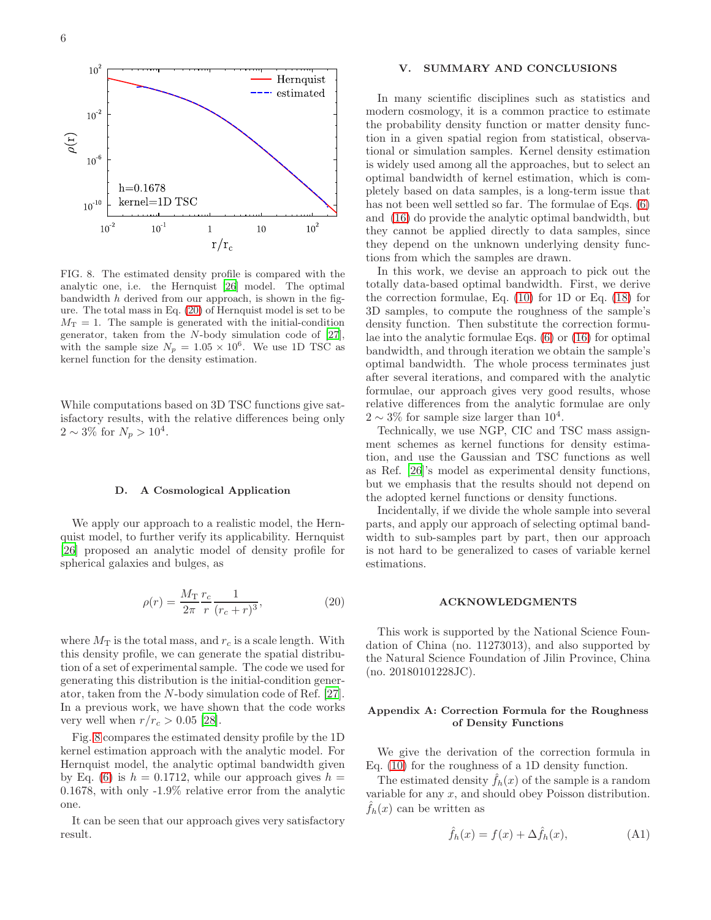

<span id="page-5-3"></span>FIG. 8. The estimated density profile is compared with the analytic one, i.e. the Hernquist [\[26](#page-7-16)] model. The optimal bandwidth  $h$  derived from our approach, is shown in the figure. The total mass in Eq. [\(20\)](#page-5-2) of Hernquist model is set to be  $M_T = 1$ . The sample is generated with the initial-condition generator, taken from the N-body simulation code of [\[27](#page-7-17)], with the sample size  $N_p = 1.05 \times 10^6$ . We use 1D TSC as kernel function for the density estimation.

While computations based on 3D TSC functions give satisfactory results, with the relative differences being only  $2 \sim 3\%$  for  $N_p > 10^4$ .

# D. A Cosmological Application

We apply our approach to a realistic model, the Hernquist model, to further verify its applicability. Hernquist [\[26\]](#page-7-16) proposed an analytic model of density profile for spherical galaxies and bulges, as

<span id="page-5-2"></span>
$$
\rho(r) = \frac{M_{\rm T}}{2\pi} \frac{r_c}{r} \frac{1}{(r_c + r)^3},\tag{20}
$$

where  $M_{\rm T}$  is the total mass, and  $r_c$  is a scale length. With this density profile, we can generate the spatial distribution of a set of experimental sample. The code we used for generating this distribution is the initial-condition generator, taken from the N-body simulation code of Ref. [\[27\]](#page-7-17). In a previous work, we have shown that the code works very well when  $r/r_c > 0.05$  [\[28\]](#page-7-18).

Fig. [8](#page-5-3) compares the estimated density profile by the 1D kernel estimation approach with the analytic model. For Hernquist model, the analytic optimal bandwidth given by Eq. [\(6\)](#page-1-1) is  $h = 0.1712$ , while our approach gives  $h =$ 0.1678, with only -1.9% relative error from the analytic one.

It can be seen that our approach gives very satisfactory result.

### <span id="page-5-0"></span>V. SUMMARY AND CONCLUSIONS

In many scientific disciplines such as statistics and modern cosmology, it is a common practice to estimate the probability density function or matter density function in a given spatial region from statistical, observational or simulation samples. Kernel density estimation is widely used among all the approaches, but to select an optimal bandwidth of kernel estimation, which is completely based on data samples, is a long-term issue that has not been well settled so far. The formulae of Eqs.  $(6)$ and [\(16\)](#page-4-1) do provide the analytic optimal bandwidth, but they cannot be applied directly to data samples, since they depend on the unknown underlying density functions from which the samples are drawn.

In this work, we devise an approach to pick out the totally data-based optimal bandwidth. First, we derive the correction formulae, Eq. [\(10\)](#page-2-4) for 1D or Eq. [\(18\)](#page-4-3) for 3D samples, to compute the roughness of the sample's density function. Then substitute the correction formulae into the analytic formulae Eqs. [\(6\)](#page-1-1) or [\(16\)](#page-4-1) for optimal bandwidth, and through iteration we obtain the sample's optimal bandwidth. The whole process terminates just after several iterations, and compared with the analytic formulae, our approach gives very good results, whose relative differences from the analytic formulae are only  $2 \sim 3\%$  for sample size larger than  $10^4$ .

Technically, we use NGP, CIC and TSC mass assignment schemes as kernel functions for density estimation, and use the Gaussian and TSC functions as well as Ref. [\[26](#page-7-16)]'s model as experimental density functions, but we emphasis that the results should not depend on the adopted kernel functions or density functions.

Incidentally, if we divide the whole sample into several parts, and apply our approach of selecting optimal bandwidth to sub-samples part by part, then our approach is not hard to be generalized to cases of variable kernel estimations.

#### ACKNOWLEDGMENTS

This work is supported by the National Science Foundation of China (no. 11273013), and also supported by the Natural Science Foundation of Jilin Province, China (no. 20180101228JC).

### <span id="page-5-1"></span>Appendix A: Correction Formula for the Roughness of Density Functions

We give the derivation of the correction formula in Eq. [\(10\)](#page-2-4) for the roughness of a 1D density function.

The estimated density  $\hat{f}_h(x)$  of the sample is a random variable for any  $x$ , and should obey Poisson distribution.  $\hat{f}_h(x)$  can be written as

<span id="page-5-4"></span>
$$
\hat{f}_h(x) = f(x) + \Delta \hat{f}_h(x), \tag{A1}
$$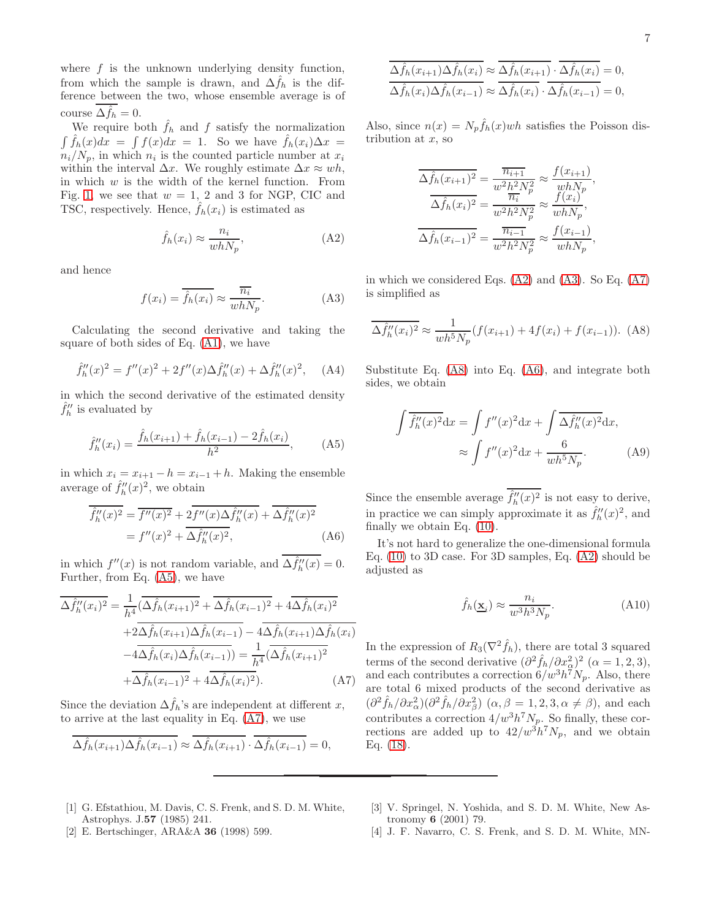where  $f$  is the unknown underlying density function, from which the sample is drawn, and  $\Delta \hat{f}_h$  is the difference between the two, whose ensemble average is of course  $\Delta \hat{f}_h = 0$ .

We require both  $\hat{f}_h$  and f satisfy the normalization  $\int \hat{f}_h(x)dx = \int f(x)dx = 1$ . So we have  $\hat{f}_h(x_i)\Delta x =$  $n_i/N_p$ , in which  $n_i$  is the counted particle number at  $x_i$ within the interval  $\Delta x$ . We roughly estimate  $\Delta x \approx wh$ , in which  $w$  is the width of the kernel function. From Fig. [1,](#page-1-3) we see that  $w = 1$ , 2 and 3 for NGP, CIC and TSC, respectively. Hence,  $\hat{f}_h(x_i)$  is estimated as

<span id="page-6-5"></span>
$$
\hat{f}_h(x_i) \approx \frac{n_i}{whN_p},\tag{A2}
$$

and hence

<span id="page-6-6"></span>
$$
f(x_i) = \hat{f}_h(x_i) \approx \frac{\overline{n_i}}{whN_p}.
$$
 (A3)

Calculating the second derivative and taking the square of both sides of Eq. [\(A1\)](#page-5-4), we have

$$
\hat{f}_h''(x)^2 = f''(x)^2 + 2f''(x)\Delta \hat{f}_h''(x) + \Delta \hat{f}_h''(x)^2, \quad \text{(A4)}
$$

in which the second derivative of the estimated density  $\hat{f}_h^{\prime\prime}$  is evaluated by

<span id="page-6-3"></span>
$$
\hat{f}_h''(x_i) = \frac{\hat{f}_h(x_{i+1}) + \hat{f}_h(x_{i-1}) - 2\hat{f}_h(x_i)}{h^2},
$$
 (A5)

in which  $x_i = x_{i+1} - h = x_{i-1} + h$ . Making the ensemble average of  $\hat{f}^{\prime\prime}_h$  $h''_h(x)^2$ , we obtain

<span id="page-6-8"></span>
$$
\overline{\hat{f}_h''(x)^2} = \overline{f''(x)^2} + 2\overline{f''(x)\Delta\hat{f}_h''(x)} + \overline{\Delta\hat{f}_h''(x)^2}
$$

$$
= f''(x)^2 + \overline{\Delta\hat{f}_h''(x)^2},
$$
(A6)

in which  $f''(x)$  is not random variable, and  $\Delta \hat{f}_h''(x) = 0$ . Further, from Eq. [\(A5\)](#page-6-3), we have

<span id="page-6-4"></span>
$$
\overline{\Delta \hat{f}_h''(x_i)^2} = \frac{1}{h^4} \overline{(\Delta \hat{f}_h(x_{i+1})^2 + \Delta \hat{f}_h(x_{i-1})^2 + 4\Delta \hat{f}_h(x_i)^2}
$$

$$
+ 2\overline{\Delta \hat{f}_h(x_{i+1})\Delta \hat{f}_h(x_{i-1})} - 4\overline{\Delta \hat{f}_h(x_{i+1})\Delta \hat{f}_h(x_i)}
$$

$$
-4\overline{\Delta \hat{f}_h(x_i)\Delta \hat{f}_h(x_{i-1})} = \frac{1}{h^4} \overline{(\Delta \hat{f}_h(x_{i+1})^2}
$$

$$
+ \overline{\Delta \hat{f}_h(x_{i-1})^2} + 4\overline{\Delta \hat{f}_h(x_i)^2}).
$$
(A7)

Since the deviation  $\Delta \hat{f}_h$ 's are independent at different x, to arrive at the last equality in Eq. [\(A7\)](#page-6-4), we use

$$
\Delta \hat{f}_h(x_{i+1}) \Delta \hat{f}_h(x_{i-1}) \approx \overline{\Delta \hat{f}_h(x_{i+1})} \cdot \overline{\Delta \hat{f}_h(x_{i-1})} = 0,
$$

$$
\frac{\Delta \hat{f}_h(x_{i+1}) \Delta \hat{f}_h(x_i)}{\Delta \hat{f}_h(x_i) \Delta \hat{f}_h(x_{i-1})} \approx \frac{\Delta \hat{f}_h(x_{i+1}) \cdot \Delta \hat{f}_h(x_i)}{\Delta \hat{f}_h(x_i) \cdot \Delta \hat{f}_h(x_{i-1})} = 0,
$$

Also, since  $n(x) = N_p \hat{f}_h(x)wh$  satisfies the Poisson distribution at  $x$ , so

$$
\frac{\overline{\Delta f_h(x_{i+1})^2}}{\Delta \hat{f}_h(x_i)^2} = \frac{\overline{n_{i+1}}}{w^2 h^2 N_p^2} \approx \frac{f(x_{i+1})}{w h N_p},
$$

$$
\frac{\overline{\Delta f_h(x_i)^2}}{\Delta \hat{f}_h(x_{i-1})^2} = \frac{\overline{n_{i-1}}}{w^2 h^2 N_p^2} \approx \frac{f(x_{i-1})}{w h N_p},
$$

$$
\frac{\overline{\Delta f_h(x_{i-1})^2}}{\Delta \hat{f}_h(x_{i-1})^2} = \frac{\overline{n_{i-1}}}{w^2 h^2 N_p^2} \approx \frac{f(x_{i-1})}{w h N_p},
$$

in which we considered Eqs. [\(A2\)](#page-6-5) and [\(A3\)](#page-6-6). So Eq. [\(A7\)](#page-6-4) is simplified as

<span id="page-6-7"></span>
$$
\overline{\Delta \hat{f}_h''(x_i)^2} \approx \frac{1}{wh^5 N_p} (f(x_{i+1}) + 4f(x_i) + f(x_{i-1})).
$$
 (A8)

Substitute Eq. [\(A8\)](#page-6-7) into Eq. [\(A6\)](#page-6-8), and integrate both sides, we obtain

$$
\int \overline{\hat{f}_h''(x)^2} dx = \int f''(x)^2 dx + \int \overline{\Delta \hat{f}_h''(x)^2} dx,
$$

$$
\approx \int f''(x)^2 dx + \frac{6}{wh^5 N_p}.
$$
 (A9)

Since the ensemble average  $\hat{f}^{\prime\prime}_h$  $\partial_h''(x)^2$  is not easy to derive, in practice we can simply approximate it as  $\hat{f}_h''(x)^2$ , and finally we obtain Eq. [\(10\)](#page-2-4).

It's not hard to generalize the one-dimensional formula Eq. [\(10\)](#page-2-4) to 3D case. For 3D samples, Eq. [\(A2\)](#page-6-5) should be adjusted as

$$
\hat{f}_h(\underline{\mathbf{x}}_i) \approx \frac{n_i}{w^3 h^3 N_p}.\tag{A10}
$$

In the expression of  $R_3(\nabla^2 \hat{f}_h)$ , there are total 3 squared terms of the second derivative  $\left(\partial^2 \hat{f}_h / \partial x_{\underline{\alpha}}^2\right)^2$   $(\alpha = 1, 2, 3)$ , and each contributes a correction  $6/w^3h^7N_p$ . Also, there are total 6 mixed products of the second derivative as  $(\partial^2 \hat{f}_h / \partial x_\alpha^2)(\partial^2 \hat{f}_h / \partial x_\beta^2)$   $(\alpha, \beta = 1, 2, 3, \alpha \neq \beta)$ , and each contributes a correction  $4/w^3h^7N_p$ . So finally, these corrections are added up to  $42/w^3h^7N_p$ , and we obtain Eq. [\(18\)](#page-4-3).

- <span id="page-6-0"></span>[1] G. Efstathiou, M. Davis, C. S. Frenk, and S. D. M. White, Astrophys. J.57 (1985) 241.
- [2] E. Bertschinger, ARA&A 36 (1998) 599.
- <span id="page-6-1"></span>[3] V. Springel, N. Yoshida, and S. D. M. White, New Astronomy 6 (2001) 79.
- <span id="page-6-2"></span>[4] J. F. Navarro, C. S. Frenk, and S. D. M. White, MN-